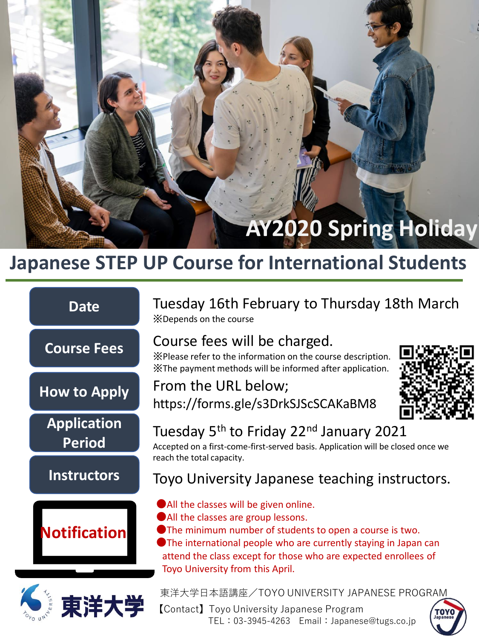# **AY2020 Spring Holiday**

# **Japanese STEP UP Course for International Students**



Tuesday 16th February to Thursday 18th March ※Depends on the course

## Course fees will be charged.

※Please refer to the information on the course description. ※The payment methods will be informed after application.

# From the URL below;



https://forms.gle/s3DrkSJScSCAKaBM8

## Tuesday 5<sup>th</sup> to Friday 22<sup>nd</sup> January 2021

Accepted on a first-come-first-served basis. Application will be closed once we reach the total capacity.

#### Toyo University Japanese teaching instructors.

- ●All the classes will be given online.
- ●All the classes are group lessons.
- ●The minimum number of students to open a course is two.

●The international people who are currently staying in Japan can attend the class except for those who are expected enrollees of Toyo University from this April.

東洋大学日本語講座/TOYO UNIVERSITY JAPANESE PROGRAM

【Contact】Toyo University Japanese Program TEL:03-3945-4263 Email:Japanese@tugs.co.jp